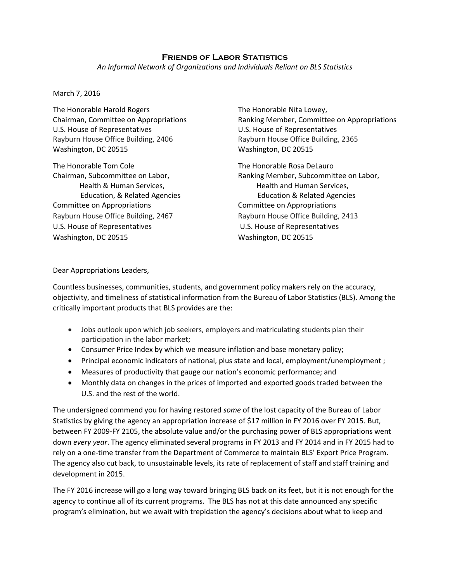## **Friends of Labor Statistics**

*An Informal Network of Organizations and Individuals Reliant on BLS Statistics*

## March 7, 2016

The Honorable Harold Rogers The Honorable Nita Lowey, U.S. House of Representatives **U.S. House of Representatives** Rayburn House Office Building, 2406 Rayburn House Office Building, 2365 Washington, DC 20515 Washington, DC 20515

The Honorable Tom Cole The Honorable Rosa DeLauro Committee on Appropriations Committee on Appropriations Rayburn House Office Building, 2467 Rayburn House Office Building, 2413 U.S. House of Representatives U.S. House of Representatives Washington, DC 20515 Washington, DC 20515

Chairman, Committee on Appropriations Ranking Member, Committee on Appropriations

Chairman, Subcommittee on Labor, Ranking Member, Subcommittee on Labor, Health & Human Services, Thealth and Human Services, Education, & Related Agencies Education & Related Agencies

Dear Appropriations Leaders,

Countless businesses, communities, students, and government policy makers rely on the accuracy, objectivity, and timeliness of statistical information from the Bureau of Labor Statistics (BLS). Among the critically important products that BLS provides are the:

- Jobs outlook upon which job seekers, employers and matriculating students plan their participation in the labor market;
- Consumer Price Index by which we measure inflation and base monetary policy;
- Principal economic indicators of national, plus state and local, employment/unemployment ;
- Measures of productivity that gauge our nation's economic performance; and
- Monthly data on changes in the prices of imported and exported goods traded between the U.S. and the rest of the world.

The undersigned commend you for having restored *some* of the lost capacity of the Bureau of Labor Statistics by giving the agency an appropriation increase of \$17 million in FY 2016 over FY 2015. But, between FY 2009-FY 2105, the absolute value and/or the purchasing power of BLS appropriations went down *every year*. The agency eliminated several programs in FY 2013 and FY 2014 and in FY 2015 had to rely on a one-time transfer from the Department of Commerce to maintain BLS' Export Price Program. The agency also cut back, to unsustainable levels, its rate of replacement of staff and staff training and development in 2015.

The FY 2016 increase will go a long way toward bringing BLS back on its feet, but it is not enough for the agency to continue all of its current programs. The BLS has not at this date announced any specific program's elimination, but we await with trepidation the agency's decisions about what to keep and